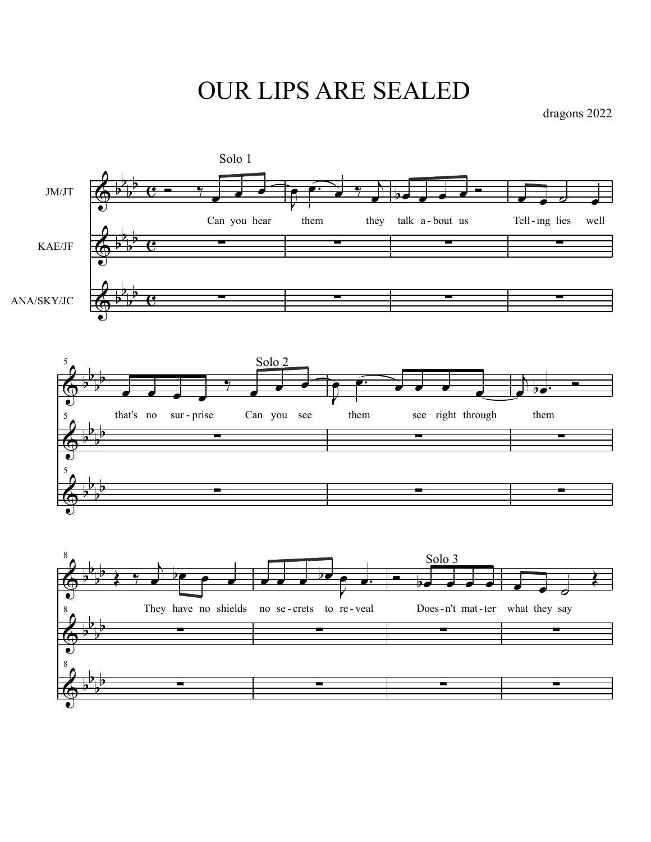OUR LIPS ARE SEALED

dragons 2022

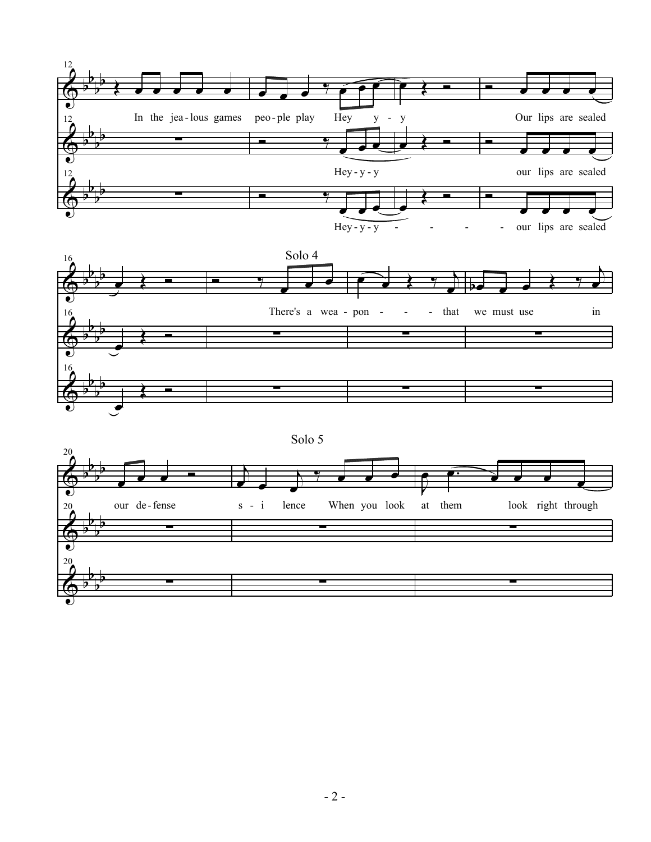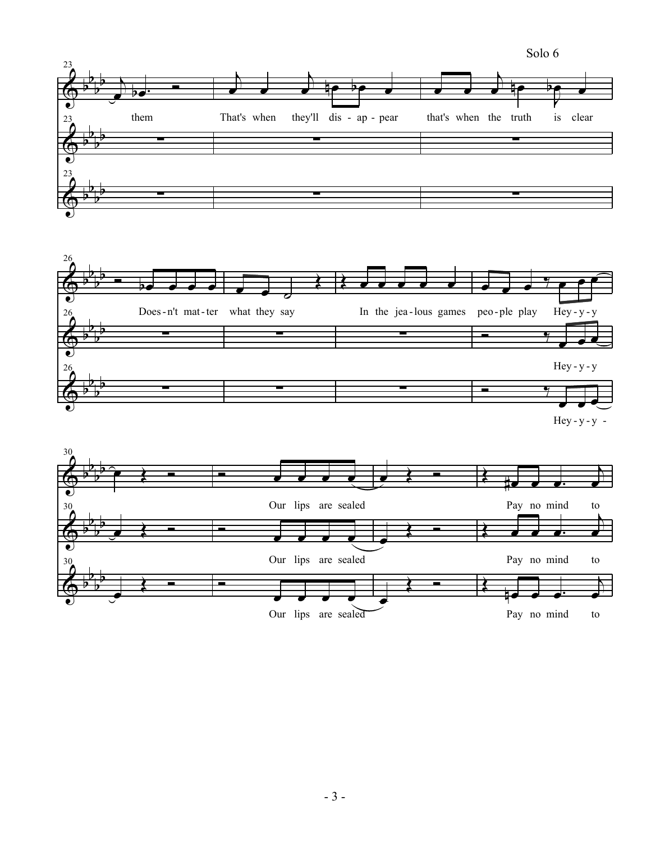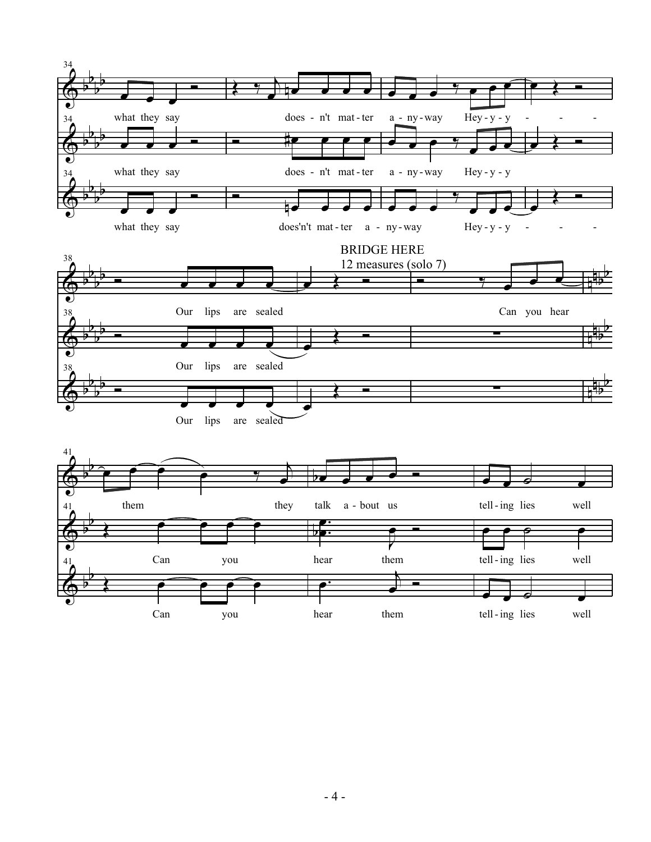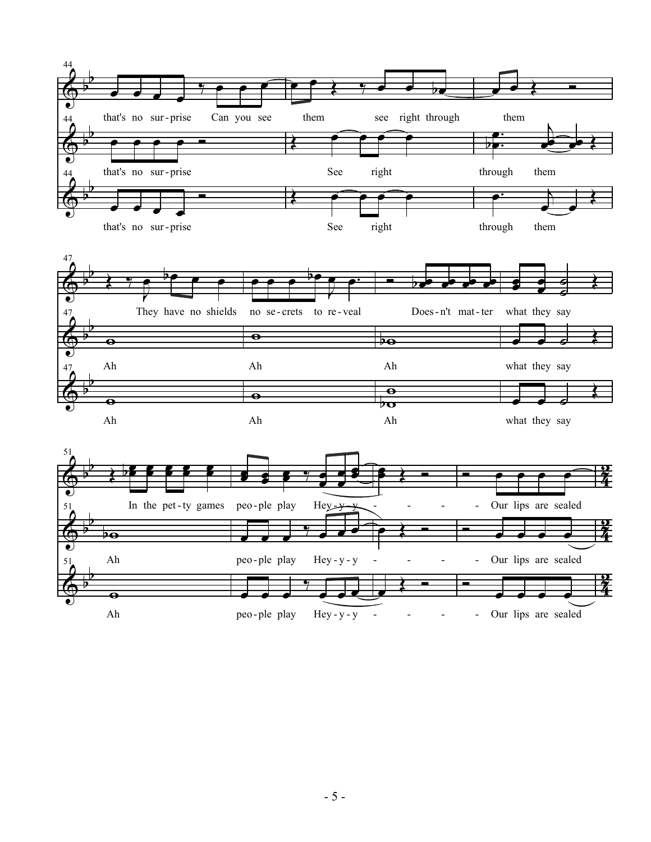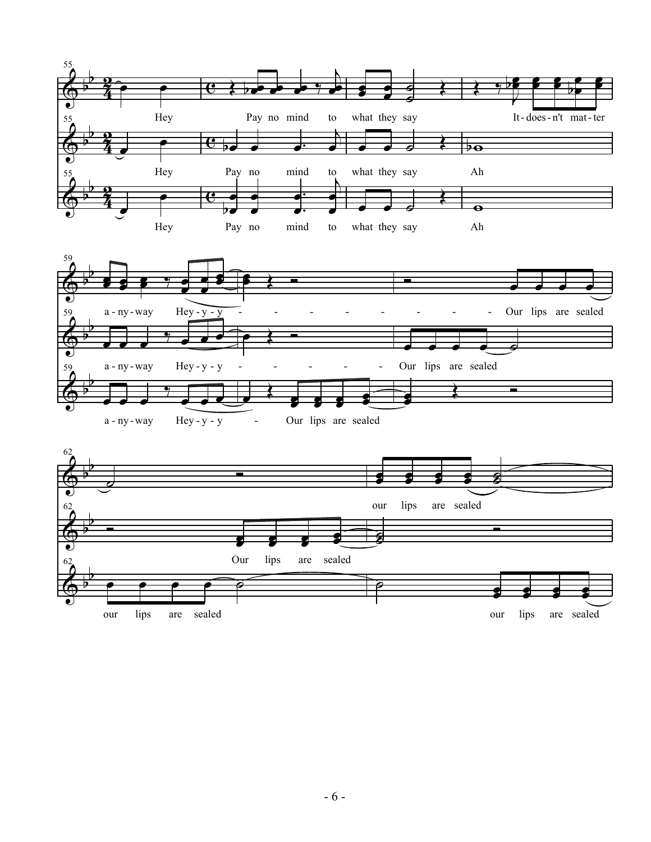